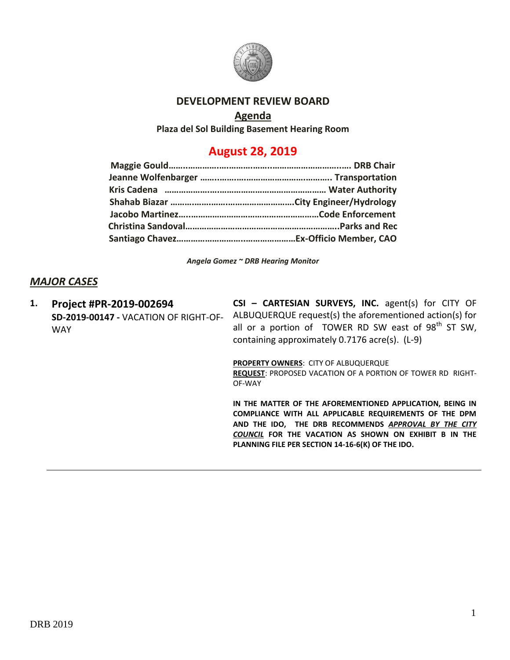

### **DEVELOPMENT REVIEW BOARD**

### **Agenda**

**Plaza del Sol Building Basement Hearing Room**

# **August 28, 2019**

*Angela Gomez ~ DRB Hearing Monitor*

## *MAJOR CASES*

**1. Project #PR-2019-002694** WAY

**SD-2019-00147 -** VACATION OF RIGHT-OF-ALBUQUERQUE request(s) the aforementioned action(s) for **CSI – CARTESIAN SURVEYS, INC.** agent(s) for CITY OF all or a portion of TOWER RD SW east of  $98<sup>th</sup>$  ST SW, containing approximately 0.7176 acre(s). (L-9)

**PROPERTY OWNERS**: CITY OF ALBUQUERQUE

**REQUEST**: PROPOSED VACATION OF A PORTION OF TOWER RD RIGHT-OF-WAY

**IN THE MATTER OF THE AFOREMENTIONED APPLICATION, BEING IN COMPLIANCE WITH ALL APPLICABLE REQUIREMENTS OF THE DPM AND THE IDO, THE DRB RECOMMENDS** *APPROVAL BY THE CITY COUNCIL* **FOR THE VACATION AS SHOWN ON EXHIBIT B IN THE PLANNING FILE PER SECTION 14-16-6(K) OF THE IDO.**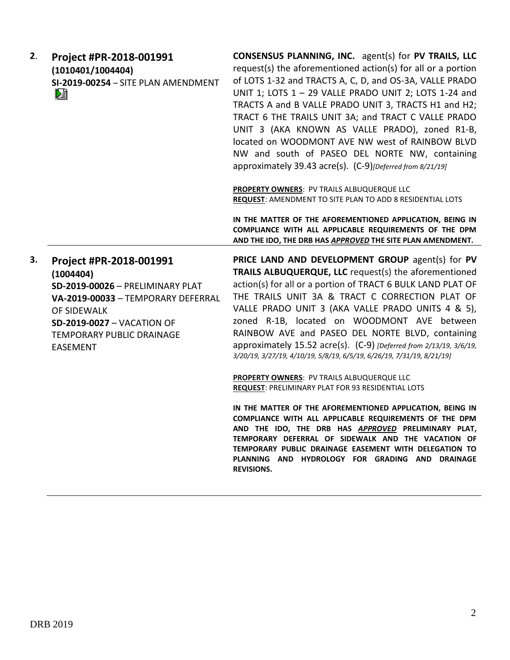| 2. | Project #PR-2018-001991<br>(1010401/1004404)<br>SI-2019-00254 - SITE PLAN AMENDMENT<br>r.                                                                                                                                 | CONSENSUS PLANNING, INC. agent(s) for PV TRAILS, LLC<br>request(s) the aforementioned action(s) for all or a portion<br>of LOTS 1-32 and TRACTS A, C, D, and OS-3A, VALLE PRADO<br>UNIT 1; LOTS 1 - 29 VALLE PRADO UNIT 2; LOTS 1-24 and<br>TRACTS A and B VALLE PRADO UNIT 3, TRACTS H1 and H2;<br>TRACT 6 THE TRAILS UNIT 3A; and TRACT C VALLE PRADO<br>UNIT 3 (AKA KNOWN AS VALLE PRADO), zoned R1-B,<br>located on WOODMONT AVE NW west of RAINBOW BLVD<br>NW and south of PASEO DEL NORTE NW, containing<br>approximately 39.43 acre(s). (C-9)[Deferred from 8/21/19] |
|----|---------------------------------------------------------------------------------------------------------------------------------------------------------------------------------------------------------------------------|-----------------------------------------------------------------------------------------------------------------------------------------------------------------------------------------------------------------------------------------------------------------------------------------------------------------------------------------------------------------------------------------------------------------------------------------------------------------------------------------------------------------------------------------------------------------------------|
|    |                                                                                                                                                                                                                           | PROPERTY OWNERS: PV TRAILS ALBUQUERQUE LLC<br>REQUEST: AMENDMENT TO SITE PLAN TO ADD 8 RESIDENTIAL LOTS                                                                                                                                                                                                                                                                                                                                                                                                                                                                     |
|    |                                                                                                                                                                                                                           | IN THE MATTER OF THE AFOREMENTIONED APPLICATION, BEING IN<br>COMPLIANCE WITH ALL APPLICABLE REQUIREMENTS OF THE DPM<br>AND THE IDO, THE DRB HAS APPROVED THE SITE PLAN AMENDMENT.                                                                                                                                                                                                                                                                                                                                                                                           |
| 3. | Project #PR-2018-001991<br>(1004404)<br>SD-2019-00026 - PRELIMINARY PLAT<br>VA-2019-00033 - TEMPORARY DEFERRAL<br>OF SIDEWALK<br><b>SD-2019-0027 - VACATION OF</b><br><b>TEMPORARY PUBLIC DRAINAGE</b><br><b>EASEMENT</b> | PRICE LAND AND DEVELOPMENT GROUP agent(s) for PV<br>TRAILS ALBUQUERQUE, LLC request(s) the aforementioned<br>action(s) for all or a portion of TRACT 6 BULK LAND PLAT OF<br>THE TRAILS UNIT 3A & TRACT C CORRECTION PLAT OF<br>VALLE PRADO UNIT 3 (AKA VALLE PRADO UNITS 4 & 5),<br>zoned R-1B, located on WOODMONT AVE between<br>RAINBOW AVE and PASEO DEL NORTE BLVD, containing<br>approximately 15.52 acre(s). (C-9) [Deferred from 2/13/19, 3/6/19,<br>3/20/19, 3/27/19, 4/10/19, 5/8/19, 6/5/19, 6/26/19, 7/31/19, 8/21/19]                                          |
|    |                                                                                                                                                                                                                           | <b>PROPERTY OWNERS: PV TRAILS ALBUQUERQUE LLC</b><br>REQUEST: PRELIMINARY PLAT FOR 93 RESIDENTIAL LOTS                                                                                                                                                                                                                                                                                                                                                                                                                                                                      |
|    |                                                                                                                                                                                                                           | IN THE MATTER OF THE AFOREMENTIONED APPLICATION, BEING IN<br>COMPLIANCE WITH ALL APPLICABLE REQUIREMENTS OF THE DPM<br>AND THE IDO, THE DRB HAS APPROVED PRELIMINARY PLAT,<br>TEMPORARY DEFERRAL OF SIDEWALK AND THE VACATION OF<br>TEMPORARY PUBLIC DRAINAGE EASEMENT WITH DELEGATION TO<br>PLANNING AND HYDROLOGY FOR GRADING AND DRAINAGE<br><b>REVISIONS.</b>                                                                                                                                                                                                           |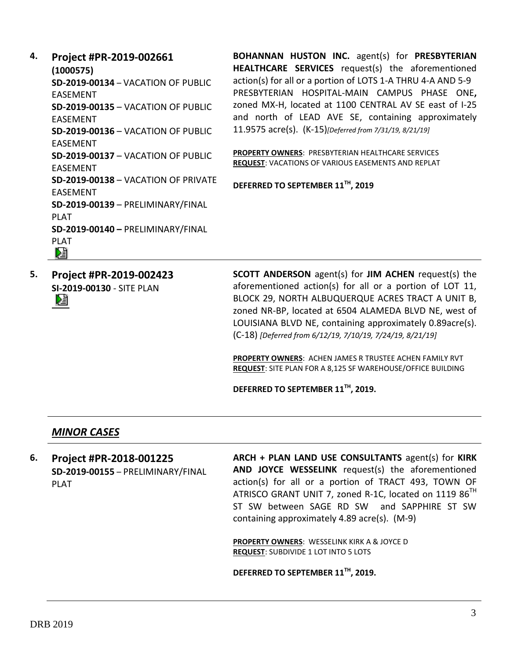**4. Project #PR-2019-002661 (1000575) SD-2019-00134** – VACATION OF PUBLIC EASEMENT **SD-2019-00135** – VACATION OF PUBLIC EASEMENT **SD-2019-00136** – VACATION OF PUBLIC EASEMENT **SD-2019-00137** – VACATION OF PUBLIC EASEMENT **SD-2019-00138** – VACATION OF PRIVATE EASEMENT **SD-2019-00139** – PRELIMINARY/FINAL PLAT **SD-2019-00140 –** PRELIMINARY/FINAL PLAT<br>D를

**BOHANNAN HUSTON INC.** agent(s) for **PRESBYTERIAN HEALTHCARE SERVICES** request(s) the aforementioned action(s) for all or a portion of LOTS 1-A THRU 4-A AND 5-9 PRESBYTERIAN HOSPITAL-MAIN CAMPUS PHASE ONE**,**  zoned MX-H, located at 1100 CENTRAL AV SE east of I-25 and north of LEAD AVE SE, containing approximately 11.9575 acre(s). (K-15)*[Deferred from 7/31/19, 8/21/19]*

**PROPERTY OWNERS**: PRESBYTERIAN HEALTHCARE SERVICES **REQUEST**: VACATIONS OF VARIOUS EASEMENTS AND REPLAT

**DEFERRED TO SEPTEMBER 11TH, 2019**

**5. Project #PR-2019-002423 SI-2019-00130** - SITE PLAN DĔ

**SCOTT ANDERSON** agent(s) for **JIM ACHEN** request(s) the aforementioned action(s) for all or a portion of LOT 11, BLOCK 29, NORTH ALBUQUERQUE ACRES TRACT A UNIT B, zoned NR-BP, located at 6504 ALAMEDA BLVD NE, west of LOUISIANA BLVD NE, containing approximately 0.89acre(s). (C-18) *[Deferred from 6/12/19, 7/10/19, 7/24/19, 8/21/19]*

**PROPERTY OWNERS**: ACHEN JAMES R TRUSTEE ACHEN FAMILY RVT **REQUEST**: SITE PLAN FOR A 8,125 SF WAREHOUSE/OFFICE BUILDING

**DEFERRED TO SEPTEMBER 11TH, 2019.**

#### *MINOR CASES*

**6. Project #PR-2018-001225 SD-2019-00155** – PRELIMINARY/FINAL PLAT

**ARCH + PLAN LAND USE CONSULTANTS** agent(s) for **KIRK AND JOYCE WESSELINK** request(s) the aforementioned action(s) for all or a portion of TRACT 493, TOWN OF ATRISCO GRANT UNIT 7, zoned R-1C, located on 1119 86<sup>TH</sup> ST SW between SAGE RD SW and SAPPHIRE ST SW containing approximately 4.89 acre(s). (M-9)

**PROPERTY OWNERS**: WESSELINK KIRK A & JOYCE D **REQUEST**: SUBDIVIDE 1 LOT INTO 5 LOTS

**DEFERRED TO SEPTEMBER 11TH, 2019.**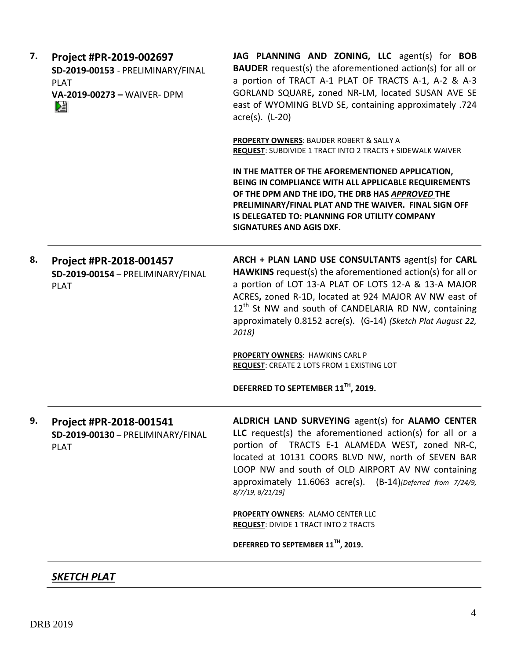| 7. | Project #PR-2019-002697<br>SD-2019-00153 - PRELIMINARY/FINAL<br><b>PLAT</b><br>VA-2019-00273 - WAIVER- DPM<br>n. | JAG PLANNING AND ZONING, LLC agent(s) for BOB<br><b>BAUDER</b> request(s) the aforementioned action(s) for all or<br>a portion of TRACT A-1 PLAT OF TRACTS A-1, A-2 & A-3<br>GORLAND SQUARE, zoned NR-LM, located SUSAN AVE SE<br>east of WYOMING BLVD SE, containing approximately .724<br>$\arccos(5)$ . (L-20)                                                              |
|----|------------------------------------------------------------------------------------------------------------------|--------------------------------------------------------------------------------------------------------------------------------------------------------------------------------------------------------------------------------------------------------------------------------------------------------------------------------------------------------------------------------|
|    |                                                                                                                  | PROPERTY OWNERS: BAUDER ROBERT & SALLY A<br>REQUEST: SUBDIVIDE 1 TRACT INTO 2 TRACTS + SIDEWALK WAIVER                                                                                                                                                                                                                                                                         |
|    |                                                                                                                  | IN THE MATTER OF THE AFOREMENTIONED APPLICATION,<br>BEING IN COMPLIANCE WITH ALL APPLICABLE REQUIREMENTS<br>OF THE DPM AND THE IDO, THE DRB HAS APPROVED THE<br>PRELIMINARY/FINAL PLAT AND THE WAIVER. FINAL SIGN OFF<br>IS DELEGATED TO: PLANNING FOR UTILITY COMPANY<br>SIGNATURES AND AGIS DXF.                                                                             |
| 8. | Project #PR-2018-001457<br>SD-2019-00154 - PRELIMINARY/FINAL<br><b>PLAT</b>                                      | ARCH + PLAN LAND USE CONSULTANTS agent(s) for CARL<br>HAWKINS request(s) the aforementioned action(s) for all or<br>a portion of LOT 13-A PLAT OF LOTS 12-A & 13-A MAJOR<br>ACRES, zoned R-1D, located at 924 MAJOR AV NW east of<br>12 <sup>th</sup> St NW and south of CANDELARIA RD NW, containing<br>approximately 0.8152 acre(s). (G-14) (Sketch Plat August 22,<br>2018) |
|    |                                                                                                                  | PROPERTY OWNERS: HAWKINS CARL P<br><b>REQUEST: CREATE 2 LOTS FROM 1 EXISTING LOT</b>                                                                                                                                                                                                                                                                                           |
|    |                                                                                                                  | DEFERRED TO SEPTEMBER 11TH, 2019.                                                                                                                                                                                                                                                                                                                                              |
| 9. | Project #PR-2018-001541<br>SD-2019-00130 - PRELIMINARY/FINAL<br><b>PLAT</b>                                      | <b>ALDRICH LAND SURVEYING agent(s) for ALAMO CENTER</b><br>LLC request(s) the aforementioned action(s) for all or a<br>portion of TRACTS E-1 ALAMEDA WEST, zoned NR-C,<br>located at 10131 COORS BLVD NW, north of SEVEN BAR<br>LOOP NW and south of OLD AIRPORT AV NW containing<br>approximately 11.6063 acre(s). (B-14)[Deferred from 7/24/9,<br>8/7/19, 8/21/19]           |
|    |                                                                                                                  | PROPERTY OWNERS: ALAMO CENTER LLC<br><b>REQUEST: DIVIDE 1 TRACT INTO 2 TRACTS</b>                                                                                                                                                                                                                                                                                              |
|    |                                                                                                                  | DEFERRED TO SEPTEMBER 11 <sup>TH</sup> , 2019.                                                                                                                                                                                                                                                                                                                                 |
|    |                                                                                                                  |                                                                                                                                                                                                                                                                                                                                                                                |

# *SKETCH PLAT*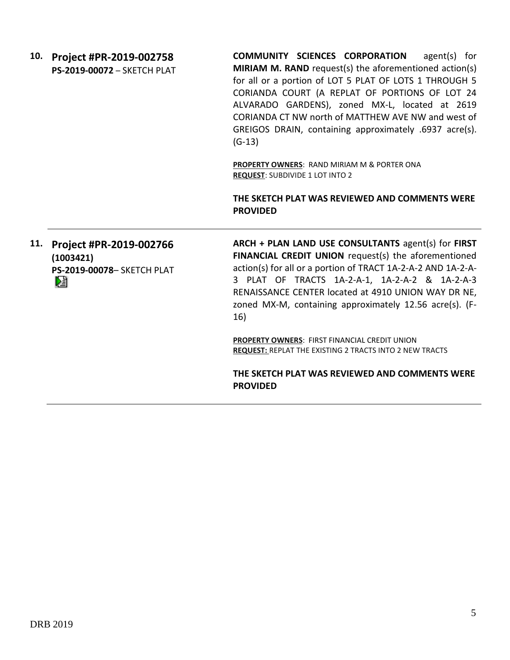| 10. | Project #PR-2019-002758            | COMMUNITY SCIENCES CORPORATION<br>$agent(s)$ for       |  |
|-----|------------------------------------|--------------------------------------------------------|--|
|     | <b>PS-2019-00072 - SKETCH PLAT</b> | MIRIAM M. RAND request(s) the aforementioned action(s) |  |
|     |                                    | for all or a portion of LOT 5 PLAT OF LOTS 1 THROUGH 5 |  |
|     |                                    | CORIANDA COURT (A REPLAT OF PORTIONS OF LOT 24         |  |
|     |                                    | ALVARADO GARDENS), zoned MX-L, located at 2619         |  |
|     |                                    | CORIANDA CT NW north of MATTHEW AVE NW and west of     |  |
|     |                                    | GREIGOS DRAIN, containing approximately .6937 acre(s). |  |
|     |                                    | $(G-13)$                                               |  |
|     |                                    |                                                        |  |
|     |                                    | <b>PROPERTY OWNERS: RAND MIRIAM M &amp; PORTER ONA</b> |  |
|     |                                    | <b>REQUEST: SUBDIVIDE 1 LOT INTO 2</b>                 |  |
|     |                                    | THE SKETCH PLAT WAS REVIEWED AND COMMENTS WERE         |  |
|     |                                    | <b>PROVIDED</b>                                        |  |
|     |                                    |                                                        |  |
|     |                                    |                                                        |  |
| 11. | Project #PR-2019-002766            | ARCH + PLAN LAND USE CONSULTANTS agent(s) for FIRST    |  |
|     | (1003421)                          | FINANCIAL CREDIT UNION request(s) the aforementioned   |  |

**PS-2019-00078**– SKETCH PLAT DÈ

action(s) for all or a portion of TRACT 1A-2-A-2 AND 1A-2-A-3 PLAT OF TRACTS 1A-2-A-1, 1A-2-A-2 & 1A-2-A-3 RENAISSANCE CENTER located at 4910 UNION WAY DR NE, zoned MX-M, containing approximately 12.56 acre(s). (F-16)

**PROPERTY OWNERS**: FIRST FINANCIAL CREDIT UNION **REQUEST:** REPLAT THE EXISTING 2 TRACTS INTO 2 NEW TRACTS

**THE SKETCH PLAT WAS REVIEWED AND COMMENTS WERE PROVIDED**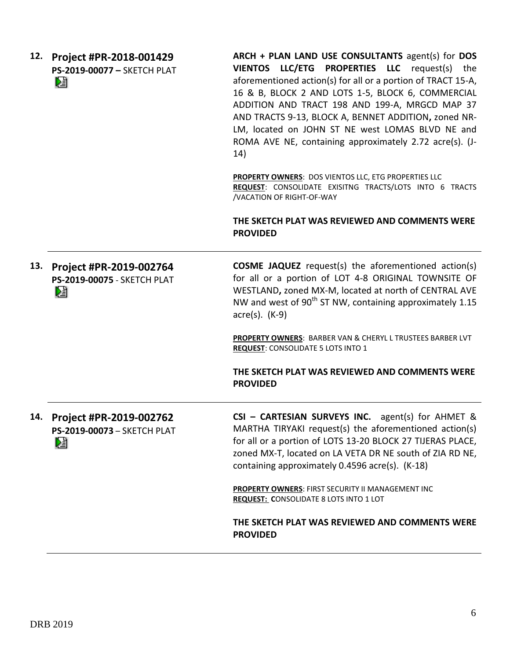| 12. | Project #PR-2018-001429<br>PS-2019-00077 - SKETCH PLAT<br>r,       | ARCH + PLAN LAND USE CONSULTANTS agent(s) for DOS<br>VIENTOS LLC/ETG PROPERTIES LLC request(s) the<br>aforementioned action(s) for all or a portion of TRACT 15-A,<br>16 & B, BLOCK 2 AND LOTS 1-5, BLOCK 6, COMMERCIAL<br>ADDITION AND TRACT 198 AND 199-A, MRGCD MAP 37<br>AND TRACTS 9-13, BLOCK A, BENNET ADDITION, zoned NR-<br>LM, located on JOHN ST NE west LOMAS BLVD NE and<br>ROMA AVE NE, containing approximately 2.72 acre(s). (J-<br>14) |
|-----|--------------------------------------------------------------------|---------------------------------------------------------------------------------------------------------------------------------------------------------------------------------------------------------------------------------------------------------------------------------------------------------------------------------------------------------------------------------------------------------------------------------------------------------|
|     |                                                                    | PROPERTY OWNERS: DOS VIENTOS LLC, ETG PROPERTIES LLC<br>REQUEST: CONSOLIDATE EXISITNG TRACTS/LOTS INTO 6 TRACTS<br>/VACATION OF RIGHT-OF-WAY                                                                                                                                                                                                                                                                                                            |
|     |                                                                    | THE SKETCH PLAT WAS REVIEWED AND COMMENTS WERE<br><b>PROVIDED</b>                                                                                                                                                                                                                                                                                                                                                                                       |
| 13. | Project #PR-2019-002764<br><b>PS-2019-00075 - SKETCH PLAT</b><br>N | <b>COSME JAQUEZ</b> request(s) the aforementioned action(s)<br>for all or a portion of LOT 4-8 ORIGINAL TOWNSITE OF<br>WESTLAND, zoned MX-M, located at north of CENTRAL AVE<br>NW and west of 90 <sup>th</sup> ST NW, containing approximately 1.15<br>$\arccos(5)$ . (K-9)                                                                                                                                                                            |
|     |                                                                    | PROPERTY OWNERS: BARBER VAN & CHERYL L TRUSTEES BARBER LVT<br><b>REQUEST: CONSOLIDATE 5 LOTS INTO 1</b>                                                                                                                                                                                                                                                                                                                                                 |
|     |                                                                    | THE SKETCH PLAT WAS REVIEWED AND COMMENTS WERE<br><b>PROVIDED</b>                                                                                                                                                                                                                                                                                                                                                                                       |
| 14. | Project #PR-2019-002762<br>PS-2019-00073 - SKETCH PLAT<br>ù.       | CSI - CARTESIAN SURVEYS INC.<br>agent(s) for $AHMET$ &<br>MARTHA TIRYAKI request(s) the aforementioned action(s)<br>for all or a portion of LOTS 13-20 BLOCK 27 TIJERAS PLACE,<br>zoned MX-T, located on LA VETA DR NE south of ZIA RD NE,<br>containing approximately 0.4596 acre(s). (K-18)                                                                                                                                                           |
|     |                                                                    | <b>PROPERTY OWNERS: FIRST SECURITY II MANAGEMENT INC</b><br><b>REQUEST: CONSOLIDATE 8 LOTS INTO 1 LOT</b>                                                                                                                                                                                                                                                                                                                                               |
|     |                                                                    | THE SKETCH PLAT WAS REVIEWED AND COMMENTS WERE<br><b>PROVIDED</b>                                                                                                                                                                                                                                                                                                                                                                                       |